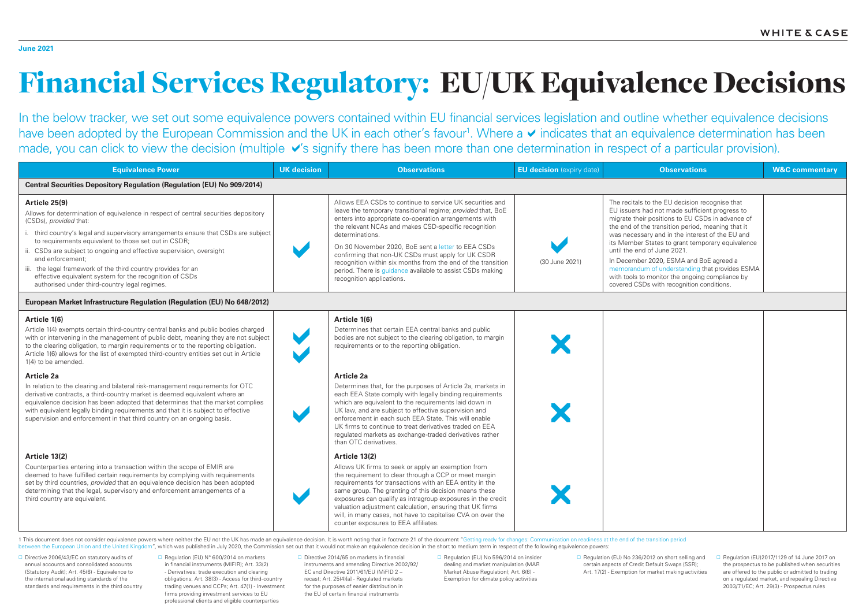# Financial Services Regulatory: EU/UK Equivalence Decisions

In the below tracker, we set out some equivalence powers contained within EU financial services legislation and outline whether equivalence decisions have been adopted by the European Commission and the UK in each other's favour<sup>1</sup>. Where a vindicates that an equivalence determination has been made, you can click to view the decision (multiple v's signify there has been more than one determination in respect of a particular provision).

| <b>Observations</b>                                                                                                                                                                                                                                                                                                                                                                                                                                                                                                                          | <b>W&amp;C commentary</b> |
|----------------------------------------------------------------------------------------------------------------------------------------------------------------------------------------------------------------------------------------------------------------------------------------------------------------------------------------------------------------------------------------------------------------------------------------------------------------------------------------------------------------------------------------------|---------------------------|
|                                                                                                                                                                                                                                                                                                                                                                                                                                                                                                                                              |                           |
| The recitals to the EU decision recognise that<br>EU issuers had not made sufficient progress to<br>migrate their positions to EU CSDs in advance of<br>the end of the transition period, meaning that it<br>was necessary and in the interest of the EU and<br>its Member States to grant temporary equivalence<br>until the end of June 2021.<br>In December 2020, ESMA and BoE agreed a<br>memorandum of understanding that provides ESMA<br>with tools to monitor the ongoing compliance by<br>covered CSDs with recognition conditions. |                           |
|                                                                                                                                                                                                                                                                                                                                                                                                                                                                                                                                              |                           |
|                                                                                                                                                                                                                                                                                                                                                                                                                                                                                                                                              |                           |

| <b>Equivalence Power</b>                                                                                                                                                                                                                                                                                                                                                                                                                                                                                                                              | <b>UK decision</b> | <b>Observations</b>                                                                                                                                                                                                                                                                                                                                                                                                                                                                                                                | <b>EU decision</b> (expiry date) | <b>Observations</b>                                                                                                                                                                                                                                                                                                                                                                                                                                                                                                                          | <b>W&amp;C commentary</b> |
|-------------------------------------------------------------------------------------------------------------------------------------------------------------------------------------------------------------------------------------------------------------------------------------------------------------------------------------------------------------------------------------------------------------------------------------------------------------------------------------------------------------------------------------------------------|--------------------|------------------------------------------------------------------------------------------------------------------------------------------------------------------------------------------------------------------------------------------------------------------------------------------------------------------------------------------------------------------------------------------------------------------------------------------------------------------------------------------------------------------------------------|----------------------------------|----------------------------------------------------------------------------------------------------------------------------------------------------------------------------------------------------------------------------------------------------------------------------------------------------------------------------------------------------------------------------------------------------------------------------------------------------------------------------------------------------------------------------------------------|---------------------------|
| <b>Central Securities Depository Regulation (Regulation (EU) No 909/2014)</b>                                                                                                                                                                                                                                                                                                                                                                                                                                                                         |                    |                                                                                                                                                                                                                                                                                                                                                                                                                                                                                                                                    |                                  |                                                                                                                                                                                                                                                                                                                                                                                                                                                                                                                                              |                           |
| Article 25(9)<br>Allows for determination of equivalence in respect of central securities depository<br>(CSDs), provided that:<br>i. third country's legal and supervisory arrangements ensure that CSDs are subject<br>to requirements equivalent to those set out in CSDR;<br>ii. CSDs are subject to ongoing and effective supervision, oversight<br>and enforcement:<br>iii. the legal framework of the third country provides for an<br>effective equivalent system for the recognition of CSDs<br>authorised under third-country legal regimes. |                    | Allows EEA CSDs to continue to service UK securities and<br>leave the temporary transitional regime; provided that, BoE<br>enters into appropriate co-operation arrangements with<br>the relevant NCAs and makes CSD-specific recognition<br>determinations.<br>On 30 November 2020, BoE sent a letter to EEA CSDs<br>confirming that non-UK CSDs must apply for UK CSDR<br>recognition within six months from the end of the transition<br>period. There is guidance available to assist CSDs making<br>recognition applications. | (30 June 2021)                   | The recitals to the EU decision recognise that<br>EU issuers had not made sufficient progress to<br>migrate their positions to EU CSDs in advance of<br>the end of the transition period, meaning that it<br>was necessary and in the interest of the EU and<br>its Member States to grant temporary equivalence<br>until the end of June 2021.<br>In December 2020, ESMA and BoE agreed a<br>memorandum of understanding that provides ESMA<br>with tools to monitor the ongoing compliance by<br>covered CSDs with recognition conditions. |                           |
| European Market Infrastructure Regulation (Regulation (EU) No 648/2012)                                                                                                                                                                                                                                                                                                                                                                                                                                                                               |                    |                                                                                                                                                                                                                                                                                                                                                                                                                                                                                                                                    |                                  |                                                                                                                                                                                                                                                                                                                                                                                                                                                                                                                                              |                           |
| Article 1(6)<br>Article 1(4) exempts certain third-country central banks and public bodies charged<br>with or intervening in the management of public debt, meaning they are not subject<br>to the clearing obligation, to margin requirements or to the reporting obligation.<br>Article 1(6) allows for the list of exempted third-country entities set out in Article<br>1(4) to be amended.<br>Article 2a                                                                                                                                         |                    | Article 1(6)<br>Determines that certain EEA central banks and public<br>bodies are not subject to the clearing obligation, to margin<br>requirements or to the reporting obligation.<br><b>Article 2a</b>                                                                                                                                                                                                                                                                                                                          |                                  |                                                                                                                                                                                                                                                                                                                                                                                                                                                                                                                                              |                           |
| In relation to the clearing and bilateral risk-management requirements for OTC<br>derivative contracts, a third-country market is deemed equivalent where an<br>equivalence decision has been adopted that determines that the market complies<br>with equivalent legally binding requirements and that it is subject to effective<br>supervision and enforcement in that third country on an ongoing basis.                                                                                                                                          |                    | Determines that, for the purposes of Article 2a, markets in<br>each EEA State comply with legally binding requirements<br>which are equivalent to the requirements laid down in<br>UK law, and are subject to effective supervision and<br>enforcement in each such EEA State. This will enable<br>UK firms to continue to treat derivatives traded on EEA<br>regulated markets as exchange-traded derivatives rather<br>than OTC derivatives.                                                                                     |                                  |                                                                                                                                                                                                                                                                                                                                                                                                                                                                                                                                              |                           |
| Article 13(2)<br>Counterparties entering into a transaction within the scope of EMIR are<br>deemed to have fulfilled certain requirements by complying with requirements<br>set by third countries, provided that an equivalence decision has been adopted<br>determining that the legal, supervisory and enforcement arrangements of a<br>third country are equivalent.                                                                                                                                                                              |                    | Article 13(2)<br>Allows UK firms to seek or apply an exemption from<br>the requirement to clear through a CCP or meet margin<br>requirements for transactions with an EEA entity in the<br>same group. The granting of this decision means these<br>exposures can qualify as intragroup exposures in the credit<br>valuation adjustment calculation, ensuring that UK firms<br>will, in many cases, not have to capitalise CVA on over the<br>counter exposures to EEA affiliates.                                                 |                                  |                                                                                                                                                                                                                                                                                                                                                                                                                                                                                                                                              |                           |

1 This document does not consider equivalence powers where neither the EU nor the UK has made an equivalence decision. It is worth noting that in footnote 21 of the document "Getting ready for changes: Communication on rea between the European Union and the United Kingdom", which was published in July 2020, the Commission set out that it would not make an equivalence decision in the short to medium term in respect of the following equivalenc

 $\Box$  Directive 2006/43/EC on statutory audits of annual accounts and consolidated accounts (Statutory Audit); Art. 45(6) - Equivalence to the international auditing standards of the standards and requirements in the third country □ Regulation (EU) N° 600/2014 on markets in financial instruments (MIFIR); Art. 33(2) - Derivatives: trade execution and clearing obligations; Art. 38(3) - Access for third-country trading venues and CCPs; Art. 47(1) - Investment firms providing investment services to EU professional clients and eligible counterparties

 $\Box$  Directive 2014/65 on markets in financial instruments and amending Directive 2002/92/ EC and Directive 2011/61/EU (MiFID 2 – recast; Art. 25(4)[a] - Regulated markets for the purposes of easier distribution in the EU of certain financial instruments

□ Regulation (EU) No 596/2014 on insider dealing and market manipulation (MAR Market Abuse Regulation); Art. 6(6) - Exemption for climate policy activities

□ Regulation (EU) No 236/2012 on short selling and certain aspects of Credit Default Swaps (SSR); Art. 17(2) - Exemption for market making activities

 $\Box$  Regulation (EU)2017/1129 of 14 June 2017 on the prospectus to be published when securities are offered to the public or admitted to trading on a regulated market, and repealing Directive 2003/71/EC; Art. 29(3) - Prospectus rules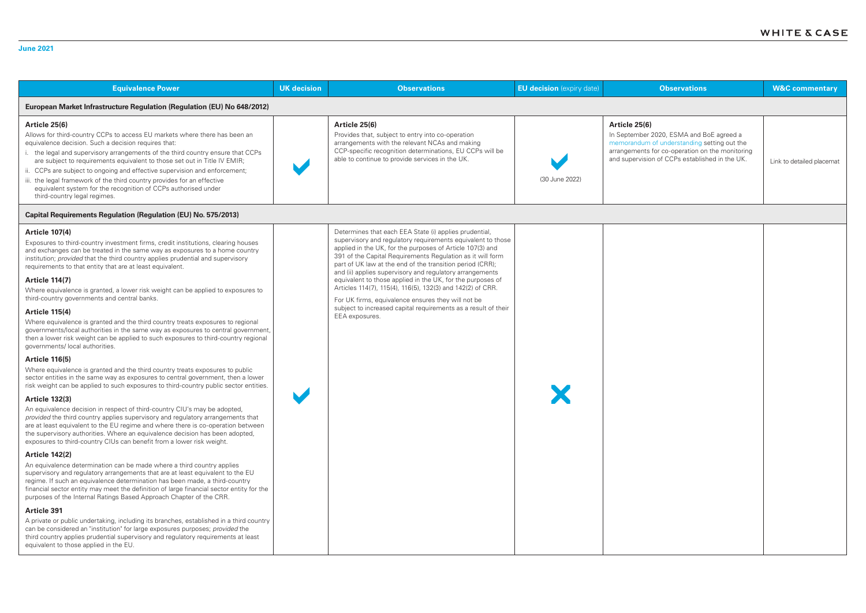| <b>Equivalence Power</b>                                                                                                                                                                                                                                                                                                                                                                                                                                                                                                                                                                                                                                                                                                                                                                                                                                                                                                                                                                                                                                                                                                                                                                                                                                                                                                                                                                                                                                                                                                                                                                                                                                                                                                                            | <b>UK</b> decision | <b>Observations</b>                                                                                                                                                                                                                                                                                                                                                                                                                                                                                                                                                                                                                             | <b>EU decision</b> (expiry date) | <b>Observations</b>                                                                                                                                                                                           | <b>W&amp;C commentary</b> |  |
|-----------------------------------------------------------------------------------------------------------------------------------------------------------------------------------------------------------------------------------------------------------------------------------------------------------------------------------------------------------------------------------------------------------------------------------------------------------------------------------------------------------------------------------------------------------------------------------------------------------------------------------------------------------------------------------------------------------------------------------------------------------------------------------------------------------------------------------------------------------------------------------------------------------------------------------------------------------------------------------------------------------------------------------------------------------------------------------------------------------------------------------------------------------------------------------------------------------------------------------------------------------------------------------------------------------------------------------------------------------------------------------------------------------------------------------------------------------------------------------------------------------------------------------------------------------------------------------------------------------------------------------------------------------------------------------------------------------------------------------------------------|--------------------|-------------------------------------------------------------------------------------------------------------------------------------------------------------------------------------------------------------------------------------------------------------------------------------------------------------------------------------------------------------------------------------------------------------------------------------------------------------------------------------------------------------------------------------------------------------------------------------------------------------------------------------------------|----------------------------------|---------------------------------------------------------------------------------------------------------------------------------------------------------------------------------------------------------------|---------------------------|--|
| European Market Infrastructure Regulation (Regulation (EU) No 648/2012)                                                                                                                                                                                                                                                                                                                                                                                                                                                                                                                                                                                                                                                                                                                                                                                                                                                                                                                                                                                                                                                                                                                                                                                                                                                                                                                                                                                                                                                                                                                                                                                                                                                                             |                    |                                                                                                                                                                                                                                                                                                                                                                                                                                                                                                                                                                                                                                                 |                                  |                                                                                                                                                                                                               |                           |  |
| Article 25(6)<br>Allows for third-country CCPs to access EU markets where there has been an<br>equivalence decision. Such a decision requires that:<br>i. the legal and supervisory arrangements of the third country ensure that CCPs<br>are subject to requirements equivalent to those set out in Title IV EMIR;<br>ii. CCPs are subject to ongoing and effective supervision and enforcement;<br>iii. the legal framework of the third country provides for an effective<br>equivalent system for the recognition of CCPs authorised under<br>third-country legal regimes.                                                                                                                                                                                                                                                                                                                                                                                                                                                                                                                                                                                                                                                                                                                                                                                                                                                                                                                                                                                                                                                                                                                                                                      |                    | Article 25(6)<br>Provides that, subject to entry into co-operation<br>arrangements with the relevant NCAs and making<br>CCP-specific recognition determinations, EU CCPs will be<br>able to continue to provide services in the UK.                                                                                                                                                                                                                                                                                                                                                                                                             | (30 June 2022)                   | Article 25(6)<br>In September 2020, ESMA and BoE agreed a<br>memorandum of understanding setting out the<br>arrangements for co-operation on the monitoring<br>and supervision of CCPs established in the UK. | Link to detailed placemat |  |
| <b>Capital Requirements Regulation (Regulation (EU) No. 575/2013)</b>                                                                                                                                                                                                                                                                                                                                                                                                                                                                                                                                                                                                                                                                                                                                                                                                                                                                                                                                                                                                                                                                                                                                                                                                                                                                                                                                                                                                                                                                                                                                                                                                                                                                               |                    |                                                                                                                                                                                                                                                                                                                                                                                                                                                                                                                                                                                                                                                 |                                  |                                                                                                                                                                                                               |                           |  |
| <b>Article 107(4)</b><br>Exposures to third-country investment firms, credit institutions, clearing houses<br>and exchanges can be treated in the same way as exposures to a home country<br>institution; provided that the third country applies prudential and supervisory<br>requirements to that entity that are at least equivalent.<br><b>Article 114(7)</b><br>Where equivalence is granted, a lower risk weight can be applied to exposures to<br>third-country governments and central banks.<br><b>Article 115(4)</b><br>Where equivalence is granted and the third country treats exposures to regional<br>governments/local authorities in the same way as exposures to central government,<br>then a lower risk weight can be applied to such exposures to third-country regional<br>governments/ local authorities.<br><b>Article 116(5)</b><br>Where equivalence is granted and the third country treats exposures to public<br>sector entities in the same way as exposures to central government, then a lower<br>risk weight can be applied to such exposures to third-country public sector entities.<br><b>Article 132(3)</b><br>An equivalence decision in respect of third-country CIU's may be adopted,<br>provided the third country applies supervisory and regulatory arrangements that<br>are at least equivalent to the EU regime and where there is co-operation between<br>the supervisory authorities. Where an equivalence decision has been adopted,<br>exposures to third-country CIUs can benefit from a lower risk weight.<br><b>Article 142(2)</b><br>An equivalence determination can be made where a third country applies<br>supervisory and regulatory arrangements that are at least equivalent to the EU |                    | Determines that each EEA State (i) applies prudential,<br>supervisory and regulatory requirements equivalent to those<br>applied in the UK, for the purposes of Article 107(3) and<br>391 of the Capital Requirements Regulation as it will form<br>part of UK law at the end of the transition period (CRR);<br>and (ii) applies supervisory and regulatory arrangements<br>equivalent to those applied in the UK, for the purposes of<br>Articles 114(7), 115(4), 116(5), 132(3) and 142(2) of CRR.<br>For UK firms, equivalence ensures they will not be<br>subject to increased capital requirements as a result of their<br>EEA exposures. |                                  |                                                                                                                                                                                                               |                           |  |
| regime. If such an equivalence determination has been made, a third-country<br>financial sector entity may meet the definition of large financial sector entity for the<br>purposes of the Internal Ratings Based Approach Chapter of the CRR.                                                                                                                                                                                                                                                                                                                                                                                                                                                                                                                                                                                                                                                                                                                                                                                                                                                                                                                                                                                                                                                                                                                                                                                                                                                                                                                                                                                                                                                                                                      |                    |                                                                                                                                                                                                                                                                                                                                                                                                                                                                                                                                                                                                                                                 |                                  |                                                                                                                                                                                                               |                           |  |
| <b>Article 391</b>                                                                                                                                                                                                                                                                                                                                                                                                                                                                                                                                                                                                                                                                                                                                                                                                                                                                                                                                                                                                                                                                                                                                                                                                                                                                                                                                                                                                                                                                                                                                                                                                                                                                                                                                  |                    |                                                                                                                                                                                                                                                                                                                                                                                                                                                                                                                                                                                                                                                 |                                  |                                                                                                                                                                                                               |                           |  |
| A private or public undertaking, including its branches, established in a third country<br>can be considered an "institution" for large exposures purposes; provided the<br>third country applies prudential supervisory and regulatory requirements at least<br>equivalent to those applied in the EU.                                                                                                                                                                                                                                                                                                                                                                                                                                                                                                                                                                                                                                                                                                                                                                                                                                                                                                                                                                                                                                                                                                                                                                                                                                                                                                                                                                                                                                             |                    |                                                                                                                                                                                                                                                                                                                                                                                                                                                                                                                                                                                                                                                 |                                  |                                                                                                                                                                                                               |                           |  |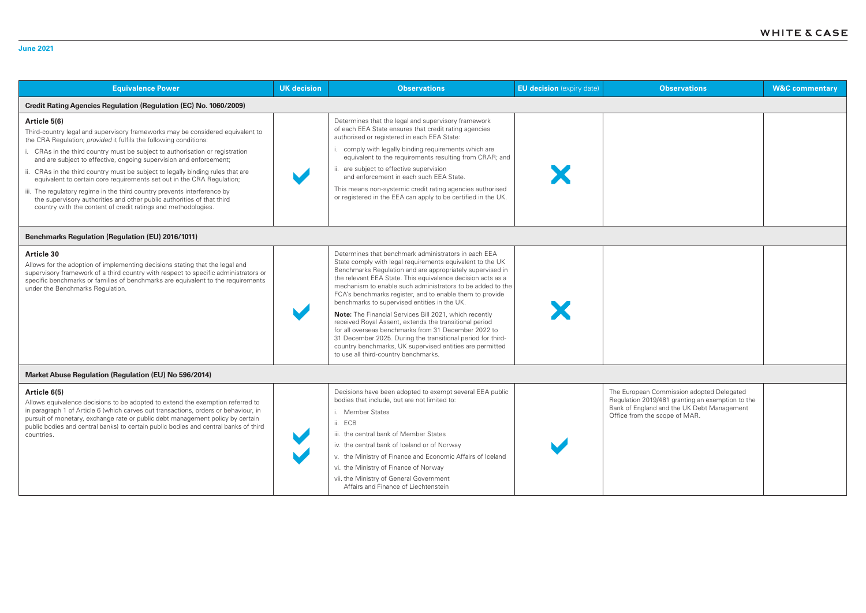| <b>Equivalence Power</b>                                                                                                                                                                                                                                                                                                                                                                                                                                                                                                                                                                                                                                                                                    | <b>UK</b> decision | <b>Observations</b>                                                                                                                                                                                                                                                                                                                                                                                                                                                                                                                                                                                                                                                                                                                                                    | <b>EU decision</b> (expiry date) | <b>Observations</b>                                                                                                                                                          | <b>W&amp;C commentary</b> |
|-------------------------------------------------------------------------------------------------------------------------------------------------------------------------------------------------------------------------------------------------------------------------------------------------------------------------------------------------------------------------------------------------------------------------------------------------------------------------------------------------------------------------------------------------------------------------------------------------------------------------------------------------------------------------------------------------------------|--------------------|------------------------------------------------------------------------------------------------------------------------------------------------------------------------------------------------------------------------------------------------------------------------------------------------------------------------------------------------------------------------------------------------------------------------------------------------------------------------------------------------------------------------------------------------------------------------------------------------------------------------------------------------------------------------------------------------------------------------------------------------------------------------|----------------------------------|------------------------------------------------------------------------------------------------------------------------------------------------------------------------------|---------------------------|
| <b>Credit Rating Agencies Regulation (Regulation (EC) No. 1060/2009)</b>                                                                                                                                                                                                                                                                                                                                                                                                                                                                                                                                                                                                                                    |                    |                                                                                                                                                                                                                                                                                                                                                                                                                                                                                                                                                                                                                                                                                                                                                                        |                                  |                                                                                                                                                                              |                           |
| Article 5(6)<br>Third-country legal and supervisory frameworks may be considered equivalent to<br>the CRA Regulation; provided it fulfils the following conditions:<br>CRAs in the third country must be subject to authorisation or registration<br>and are subject to effective, ongoing supervision and enforcement;<br>ii. CRAs in the third country must be subject to legally binding rules that are<br>equivalent to certain core requirements set out in the CRA Regulation;<br>iii. The regulatory regime in the third country prevents interference by<br>the supervisory authorities and other public authorities of that third<br>country with the content of credit ratings and methodologies. |                    | Determines that the legal and supervisory framework<br>of each EEA State ensures that credit rating agencies<br>authorised or registered in each EEA State:<br>comply with legally binding requirements which are<br>equivalent to the requirements resulting from CRAR; and<br>ii. are subject to effective supervision<br>and enforcement in each such EEA State.<br>This means non-systemic credit rating agencies authorised<br>or registered in the EEA can apply to be certified in the UK.                                                                                                                                                                                                                                                                      |                                  |                                                                                                                                                                              |                           |
| <b>Benchmarks Regulation (Regulation (EU) 2016/1011)</b>                                                                                                                                                                                                                                                                                                                                                                                                                                                                                                                                                                                                                                                    |                    |                                                                                                                                                                                                                                                                                                                                                                                                                                                                                                                                                                                                                                                                                                                                                                        |                                  |                                                                                                                                                                              |                           |
| <b>Article 30</b><br>Allows for the adoption of implementing decisions stating that the legal and<br>supervisory framework of a third country with respect to specific administrators or<br>specific benchmarks or families of benchmarks are equivalent to the requirements<br>under the Benchmarks Regulation.                                                                                                                                                                                                                                                                                                                                                                                            |                    | Determines that benchmark administrators in each EEA<br>State comply with legal requirements equivalent to the UK<br>Benchmarks Regulation and are appropriately supervised in<br>the relevant EEA State. This equivalence decision acts as a<br>mechanism to enable such administrators to be added to the<br>FCA's benchmarks register, and to enable them to provide<br>benchmarks to supervised entities in the UK.<br>Note: The Financial Services Bill 2021, which recently<br>received Royal Assent, extends the transitional period<br>for all overseas benchmarks from 31 December 2022 to<br>31 December 2025. During the transitional period for third-<br>country benchmarks, UK supervised entities are permitted<br>to use all third-country benchmarks. |                                  |                                                                                                                                                                              |                           |
| Market Abuse Regulation (Regulation (EU) No 596/2014)                                                                                                                                                                                                                                                                                                                                                                                                                                                                                                                                                                                                                                                       |                    |                                                                                                                                                                                                                                                                                                                                                                                                                                                                                                                                                                                                                                                                                                                                                                        |                                  |                                                                                                                                                                              |                           |
| Article 6(5)<br>Allows equivalence decisions to be adopted to extend the exemption referred to<br>in paragraph 1 of Article 6 (which carves out transactions, orders or behaviour, in<br>pursuit of monetary, exchange rate or public debt management policy by certain<br>public bodies and central banks) to certain public bodies and central banks of third<br>countries.                                                                                                                                                                                                                                                                                                                               |                    | Decisions have been adopted to exempt several EEA public<br>bodies that include, but are not limited to:<br>i. Member States<br>ii. ECB<br>iii. the central bank of Member States<br>iv. the central bank of Iceland or of Norway<br>v. the Ministry of Finance and Economic Affairs of Iceland<br>vi. the Ministry of Finance of Norway<br>vii. the Ministry of General Government<br>Affairs and Finance of Liechtenstein                                                                                                                                                                                                                                                                                                                                            |                                  | The European Commission adopted Delegated<br>Regulation 2019/461 granting an exemption to the<br>Bank of England and the UK Debt Management<br>Office from the scope of MAR. |                           |

# **June 2021**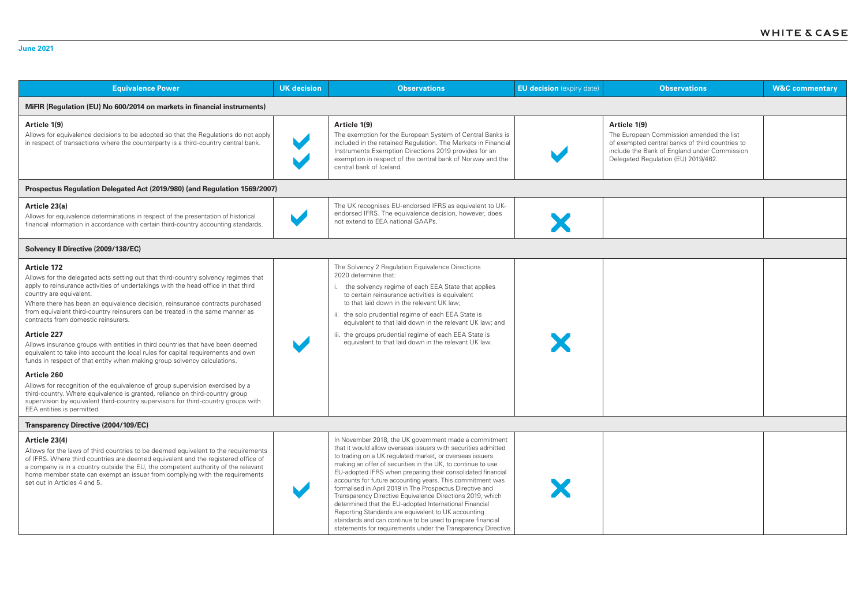| <b>Equivalence Power</b>                                                                                                                                                                                                                                                                                                                                                                                                                                                                                                                                                                                                                                                                                                                                                                                                                                                                                                                                                                                      | <b>UK</b> decision | <b>EU decision</b> (expiry date)<br><b>Observations</b><br><b>Observations</b>                                                                                                                                                                                                                                                                                                                                                                                                                                                                                                                                                                                                                                                                         |  | <b>W&amp;C commentary</b>                                                                                                                                                                          |  |  |
|---------------------------------------------------------------------------------------------------------------------------------------------------------------------------------------------------------------------------------------------------------------------------------------------------------------------------------------------------------------------------------------------------------------------------------------------------------------------------------------------------------------------------------------------------------------------------------------------------------------------------------------------------------------------------------------------------------------------------------------------------------------------------------------------------------------------------------------------------------------------------------------------------------------------------------------------------------------------------------------------------------------|--------------------|--------------------------------------------------------------------------------------------------------------------------------------------------------------------------------------------------------------------------------------------------------------------------------------------------------------------------------------------------------------------------------------------------------------------------------------------------------------------------------------------------------------------------------------------------------------------------------------------------------------------------------------------------------------------------------------------------------------------------------------------------------|--|----------------------------------------------------------------------------------------------------------------------------------------------------------------------------------------------------|--|--|
| MiFIR (Regulation (EU) No 600/2014 on markets in financial instruments)                                                                                                                                                                                                                                                                                                                                                                                                                                                                                                                                                                                                                                                                                                                                                                                                                                                                                                                                       |                    |                                                                                                                                                                                                                                                                                                                                                                                                                                                                                                                                                                                                                                                                                                                                                        |  |                                                                                                                                                                                                    |  |  |
| Article 1(9)<br>Allows for equivalence decisions to be adopted so that the Regulations do not apply<br>in respect of transactions where the counterparty is a third-country central bank.                                                                                                                                                                                                                                                                                                                                                                                                                                                                                                                                                                                                                                                                                                                                                                                                                     |                    | Article 1(9)<br>The exemption for the European System of Central Banks is<br>included in the retained Regulation. The Markets in Financial<br>Instruments Exemption Directions 2019 provides for an<br>exemption in respect of the central bank of Norway and the<br>central bank of Iceland.                                                                                                                                                                                                                                                                                                                                                                                                                                                          |  | Article 1(9)<br>The European Commission amended the list<br>of exempted central banks of third countries to<br>include the Bank of England under Commission<br>Delegated Regulation (EU) 2019/462. |  |  |
| Prospectus Regulation Delegated Act (2019/980) (and Regulation 1569/2007)                                                                                                                                                                                                                                                                                                                                                                                                                                                                                                                                                                                                                                                                                                                                                                                                                                                                                                                                     |                    |                                                                                                                                                                                                                                                                                                                                                                                                                                                                                                                                                                                                                                                                                                                                                        |  |                                                                                                                                                                                                    |  |  |
| Article 23(a)<br>Allows for equivalence determinations in respect of the presentation of historical<br>financial information in accordance with certain third-country accounting standards.                                                                                                                                                                                                                                                                                                                                                                                                                                                                                                                                                                                                                                                                                                                                                                                                                   |                    | The UK recognises EU-endorsed IFRS as equivalent to UK-<br>endorsed IFRS. The equivalence decision, however, does<br>not extend to EEA national GAAPs.                                                                                                                                                                                                                                                                                                                                                                                                                                                                                                                                                                                                 |  |                                                                                                                                                                                                    |  |  |
| Solvency II Directive (2009/138/EC)                                                                                                                                                                                                                                                                                                                                                                                                                                                                                                                                                                                                                                                                                                                                                                                                                                                                                                                                                                           |                    |                                                                                                                                                                                                                                                                                                                                                                                                                                                                                                                                                                                                                                                                                                                                                        |  |                                                                                                                                                                                                    |  |  |
| <b>Article 172</b><br>Allows for the delegated acts setting out that third-country solvency regimes that<br>apply to reinsurance activities of undertakings with the head office in that third<br>country are equivalent.<br>Where there has been an equivalence decision, reinsurance contracts purchased<br>from equivalent third-country reinsurers can be treated in the same manner as<br>contracts from domestic reinsurers.<br><b>Article 227</b><br>Allows insurance groups with entities in third countries that have been deemed<br>equivalent to take into account the local rules for capital requirements and own<br>funds in respect of that entity when making group solvency calculations.<br>Article 260<br>Allows for recognition of the equivalence of group supervision exercised by a<br>third-country. Where equivalence is granted, reliance on third-country group<br>supervision by equivalent third-country supervisors for third-country groups with<br>EEA entities is permitted. |                    | The Solvency 2 Regulation Equivalence Directions<br>2020 determine that:<br>the solvency regime of each EEA State that applies<br>to certain reinsurance activities is equivalent<br>to that laid down in the relevant UK law;<br>ii. the solo prudential regime of each EEA State is<br>equivalent to that laid down in the relevant UK law; and<br>iii. the groups prudential regime of each EEA State is<br>equivalent to that laid down in the relevant UK law.                                                                                                                                                                                                                                                                                    |  |                                                                                                                                                                                                    |  |  |
| Transparency Directive (2004/109/EC)                                                                                                                                                                                                                                                                                                                                                                                                                                                                                                                                                                                                                                                                                                                                                                                                                                                                                                                                                                          |                    |                                                                                                                                                                                                                                                                                                                                                                                                                                                                                                                                                                                                                                                                                                                                                        |  |                                                                                                                                                                                                    |  |  |
| Article 23(4)<br>Allows for the laws of third countries to be deemed equivalent to the requirements<br>of IFRS. Where third countries are deemed equivalent and the registered office of<br>a company is in a country outside the EU, the competent authority of the relevant<br>home member state can exempt an issuer from complying with the requirements<br>set out in Articles 4 and 5.                                                                                                                                                                                                                                                                                                                                                                                                                                                                                                                                                                                                                  |                    | In November 2018, the UK government made a commitment<br>that it would allow overseas issuers with securities admitted<br>to trading on a UK regulated market, or overseas issuers<br>making an offer of securities in the UK, to continue to use<br>EU-adopted IFRS when preparing their consolidated financial<br>accounts for future accounting years. This commitment was<br>formalised in April 2019 in The Prospectus Directive and<br>Transparency Directive Equivalence Directions 2019, which<br>determined that the EU-adopted International Financial<br>Reporting Standards are equivalent to UK accounting<br>standards and can continue to be used to prepare financial<br>statements for requirements under the Transparency Directive. |  |                                                                                                                                                                                                    |  |  |